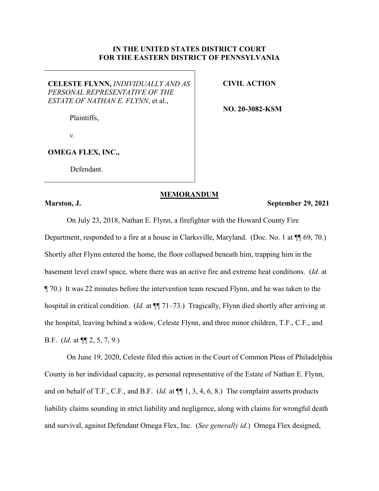## **IN THE UNITED STATES DISTRICT COURT FOR THE EASTERN DISTRICT OF PENNSYLVANIA**

**CELESTE FLYNN,** *INDIVIDUALLY AND AS PERSONAL REPRESENTATIVE OF THE ESTATE OF NATHAN E. FLYNN*, et al.,

**CIVIL ACTION**

**NO. 20-3082-KSM**

*v.*

Plaintiffs,

**OMEGA FLEX, INC.,**

Defendant.

## **MEMORANDUM**

## **Marston, J. September 29, 2021**

On July 23, 2018, Nathan E. Flynn, a firefighter with the Howard County Fire Department, responded to a fire at a house in Clarksville, Maryland. (Doc. No. 1 at ¶¶ 69, 70.) Shortly after Flynn entered the home, the floor collapsed beneath him, trapping him in the basement level crawl space, where there was an active fire and extreme heat conditions. (*Id.* at ¶ 70.) It was 22 minutes before the intervention team rescued Flynn, and he was taken to the hospital in critical condition. (*Id.* at  $\P$  71–73.) Tragically, Flynn died shortly after arriving at the hospital, leaving behind a widow, Celeste Flynn, and three minor children, T.F., C.F., and B.F. (*Id.* at ¶¶ 2, 5, 7, 9.)

On June 19, 2020, Celeste filed this action in the Court of Common Pleas of Philadelphia County in her individual capacity, as personal representative of the Estate of Nathan E. Flynn, and on behalf of T.F., C.F., and B.F. (*Id.* at ¶¶ 1, 3, 4, 6, 8.) The complaint asserts products liability claims sounding in strict liability and negligence, along with claims for wrongful death and survival, against Defendant Omega Flex, Inc. (*See generally id.*) Omega Flex designed,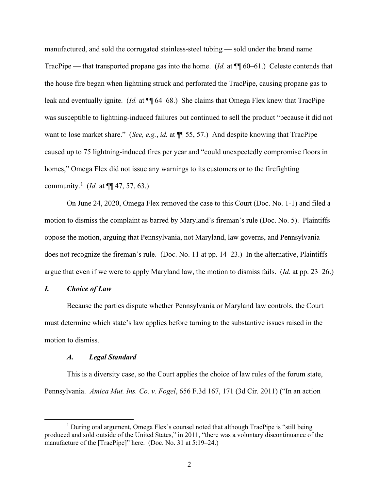manufactured, and sold the corrugated stainless-steel tubing — sold under the brand name TracPipe — that transported propane gas into the home. (*Id.* at ¶¶ 60–61.) Celeste contends that the house fire began when lightning struck and perforated the TracPipe, causing propane gas to leak and eventually ignite. (*Id.* at  $\P$  64–68.) She claims that Omega Flex knew that TracPipe was susceptible to lightning-induced failures but continued to sell the product "because it did not want to lose market share." (*See, e.g.*, *id.* at ¶¶ 55, 57.) And despite knowing that TracPipe caused up to 75 lightning-induced fires per year and "could unexpectedly compromise floors in homes," Omega Flex did not issue any warnings to its customers or to the firefighting community.<sup>[1](#page-1-0)</sup> (*Id.* at  $\P\P$  47, 57, 63.)

On June 24, 2020, Omega Flex removed the case to this Court (Doc. No. 1-1) and filed a motion to dismiss the complaint as barred by Maryland's fireman's rule (Doc. No. 5). Plaintiffs oppose the motion, arguing that Pennsylvania, not Maryland, law governs, and Pennsylvania does not recognize the fireman's rule. (Doc. No. 11 at pp. 14–23.) In the alternative, Plaintiffs argue that even if we were to apply Maryland law, the motion to dismiss fails. (*Id.* at pp. 23–26.)

## *I. Choice of Law*

Because the parties dispute whether Pennsylvania or Maryland law controls, the Court must determine which state's law applies before turning to the substantive issues raised in the motion to dismiss.

#### *A. Legal Standard*

This is a diversity case, so the Court applies the choice of law rules of the forum state, Pennsylvania. *Amica Mut. Ins. Co. v. Fogel*, 656 F.3d 167, 171 (3d Cir. 2011) ("In an action

<span id="page-1-0"></span><sup>&</sup>lt;sup>1</sup> During oral argument, Omega Flex's counsel noted that although TracPipe is "still being produced and sold outside of the United States," in 2011, "there was a voluntary discontinuance of the manufacture of the [TracPipe]" here. (Doc. No. 31 at 5:19–24.)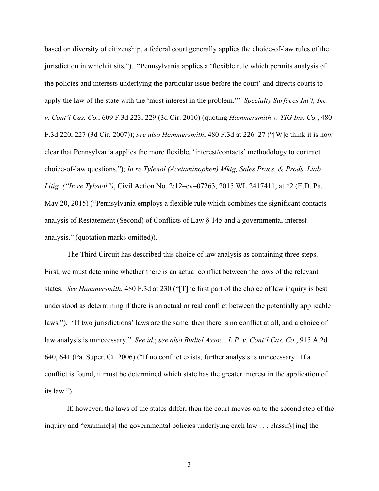based on diversity of citizenship, a federal court generally applies the choice-of-law rules of the jurisdiction in which it sits."). "Pennsylvania applies a 'flexible rule which permits analysis of the policies and interests underlying the particular issue before the court' and directs courts to apply the law of the state with the 'most interest in the problem.'" *Specialty Surfaces Int'l, Inc. v. Cont'l Cas. Co.*, 609 F.3d 223, 229 (3d Cir. 2010) (quoting *Hammersmith v. TIG Ins. Co.*, 480 F.3d 220, 227 (3d Cir. 2007)); *see also Hammersmith*, 480 F.3d at 226–27 ("[W]e think it is now clear that Pennsylvania applies the more flexible, 'interest/contacts' methodology to contract choice-of-law questions."); *In re Tylenol (Acetaminophen) Mktg, Sales Pracs. & Prods. Liab. Litig. ("In re Tylenol")*, Civil Action No. 2:12–cv–07263, 2015 WL 2417411, at \*2 (E.D. Pa. May 20, 2015) ("Pennsylvania employs a flexible rule which combines the significant contacts analysis of Restatement (Second) of Conflicts of Law § 145 and a governmental interest analysis." (quotation marks omitted)).

The Third Circuit has described this choice of law analysis as containing three steps. First, we must determine whether there is an actual conflict between the laws of the relevant states. *See Hammersmith*, 480 F.3d at 230 ("[T]he first part of the choice of law inquiry is best understood as determining if there is an actual or real conflict between the potentially applicable laws."). "If two jurisdictions' laws are the same, then there is no conflict at all, and a choice of law analysis is unnecessary." *See id.*; *see also Budtel Assoc., L.P. v. Cont'l Cas. Co.*, 915 A.2d 640, 641 (Pa. Super. Ct. 2006) ("If no conflict exists, further analysis is unnecessary. If a conflict is found, it must be determined which state has the greater interest in the application of its law.").

If, however, the laws of the states differ, then the court moves on to the second step of the inquiry and "examine[s] the governmental policies underlying each law . . . classify[ing] the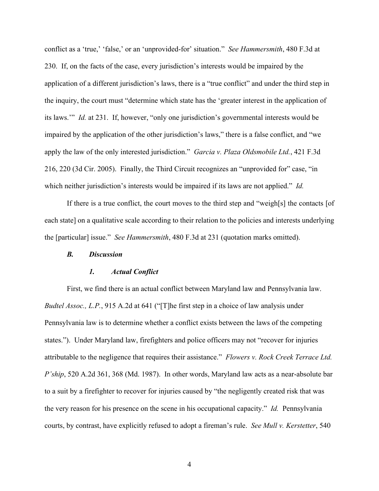conflict as a 'true,' 'false,' or an 'unprovided-for' situation." *See Hammersmith*, 480 F.3d at 230. If, on the facts of the case, every jurisdiction's interests would be impaired by the application of a different jurisdiction's laws, there is a "true conflict" and under the third step in the inquiry, the court must "determine which state has the 'greater interest in the application of its laws.'" *Id.* at 231. If, however, "only one jurisdiction's governmental interests would be impaired by the application of the other jurisdiction's laws," there is a false conflict, and "we apply the law of the only interested jurisdiction." *Garcia v. Plaza Oldsmobile Ltd.*, 421 F.3d 216, 220 (3d Cir. 2005). Finally, the Third Circuit recognizes an "unprovided for" case, "in which neither jurisdiction's interests would be impaired if its laws are not applied." *Id.*

If there is a true conflict, the court moves to the third step and "weigh[s] the contacts [of each state] on a qualitative scale according to their relation to the policies and interests underlying the [particular] issue." *See Hammersmith*, 480 F.3d at 231 (quotation marks omitted).

#### *B. Discussion*

#### *1. Actual Conflict*

First, we find there is an actual conflict between Maryland law and Pennsylvania law. *Budtel Assoc., L.P.*, 915 A.2d at 641 ("[T]he first step in a choice of law analysis under Pennsylvania law is to determine whether a conflict exists between the laws of the competing states."). Under Maryland law, firefighters and police officers may not "recover for injuries attributable to the negligence that requires their assistance." *Flowers v. Rock Creek Terrace Ltd. P'ship*, 520 A.2d 361, 368 (Md. 1987). In other words, Maryland law acts as a near-absolute bar to a suit by a firefighter to recover for injuries caused by "the negligently created risk that was the very reason for his presence on the scene in his occupational capacity." *Id.* Pennsylvania courts, by contrast, have explicitly refused to adopt a fireman's rule. *See Mull v. Kerstetter*, 540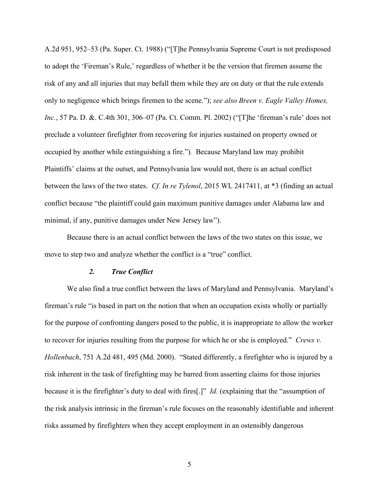A.2d 951, 952–53 (Pa. Super. Ct. 1988) ("[T]he Pennsylvania Supreme Court is not predisposed to adopt the 'Fireman's Rule,' regardless of whether it be the version that firemen assume the risk of any and all injuries that may befall them while they are on duty or that the rule extends only to negligence which brings firemen to the scene."); *see also Breen v. Eagle Valley Homes, Inc.*, 57 Pa. D. &. C.4th 301, 306–07 (Pa. Ct. Comm. Pl. 2002) ("[T]he 'fireman's rule' does not preclude a volunteer firefighter from recovering for injuries sustained on property owned or occupied by another while extinguishing a fire.")*.* Because Maryland law may prohibit Plaintiffs' claims at the outset, and Pennsylvania law would not, there is an actual conflict between the laws of the two states. *Cf. In re Tylenol*, 2015 WL 2417411, at \*3 (finding an actual conflict because "the plaintiff could gain maximum punitive damages under Alabama law and minimal, if any, punitive damages under New Jersey law").

Because there is an actual conflict between the laws of the two states on this issue, we move to step two and analyze whether the conflict is a "true" conflict.

## *2. True Conflict*

We also find a true conflict between the laws of Maryland and Pennsylvania. Maryland's fireman's rule "is based in part on the notion that when an occupation exists wholly or partially for the purpose of confronting dangers posed to the public, it is inappropriate to allow the worker to recover for injuries resulting from the purpose for which he or she is employed." *Crews v. Hollenbach*, 751 A.2d 481, 495 (Md. 2000). "Stated differently, a firefighter who is injured by a risk inherent in the task of firefighting may be barred from asserting claims for those injuries because it is the firefighter's duty to deal with fires[.]" *Id.* (explaining that the "assumption of the risk analysis intrinsic in the fireman's rule focuses on the reasonably identifiable and inherent risks assumed by firefighters when they accept employment in an ostensibly dangerous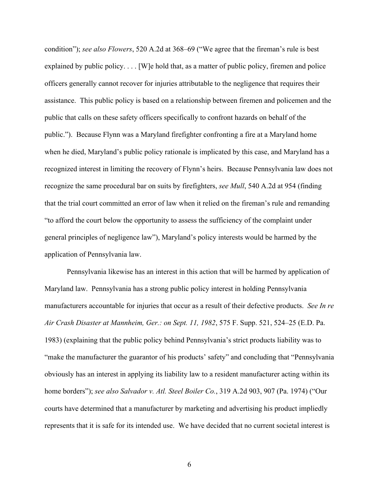condition"); *see also Flowers*, 520 A.2d at 368–69 ("We agree that the fireman's rule is best explained by public policy.... [W]e hold that, as a matter of public policy, firemen and police officers generally cannot recover for injuries attributable to the negligence that requires their assistance. This public policy is based on a relationship between firemen and policemen and the public that calls on these safety officers specifically to confront hazards on behalf of the public."). Because Flynn was a Maryland firefighter confronting a fire at a Maryland home when he died, Maryland's public policy rationale is implicated by this case, and Maryland has a recognized interest in limiting the recovery of Flynn's heirs. Because Pennsylvania law does not recognize the same procedural bar on suits by firefighters, *see Mull*, 540 A.2d at 954 (finding that the trial court committed an error of law when it relied on the fireman's rule and remanding "to afford the court below the opportunity to assess the sufficiency of the complaint under general principles of negligence law"), Maryland's policy interests would be harmed by the application of Pennsylvania law.

Pennsylvania likewise has an interest in this action that will be harmed by application of Maryland law. Pennsylvania has a strong public policy interest in holding Pennsylvania manufacturers accountable for injuries that occur as a result of their defective products. *See In re Air Crash Disaster at Mannheim, Ger.: on Sept. 11, 1982*, 575 F. Supp. 521, 524–25 (E.D. Pa. 1983) (explaining that the public policy behind Pennsylvania's strict products liability was to "make the manufacturer the guarantor of his products' safety" and concluding that "Pennsylvania obviously has an interest in applying its liability law to a resident manufacturer acting within its home borders"); *see also Salvador v. Atl. Steel Boiler Co.*, 319 A.2d 903, 907 (Pa. 1974) ("Our courts have determined that a manufacturer by marketing and advertising his product impliedly represents that it is safe for its intended use. We have decided that no current societal interest is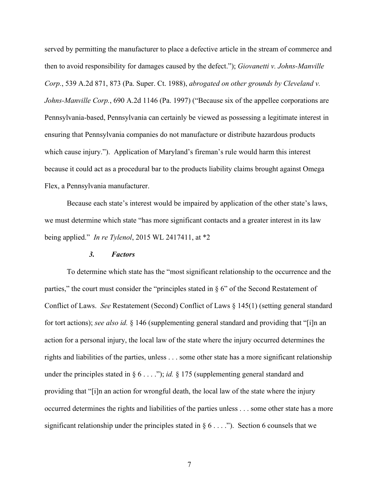served by permitting the manufacturer to place a defective article in the stream of commerce and then to avoid responsibility for damages caused by the defect."); *Giovanetti v. Johns-Manville Corp.*, 539 A.2d 871, 873 (Pa. Super. Ct. 1988), *abrogated on other grounds by Cleveland v. Johns-Manville Corp.*, 690 A.2d 1146 (Pa. 1997) ("Because six of the appellee corporations are Pennsylvania-based, Pennsylvania can certainly be viewed as possessing a legitimate interest in ensuring that Pennsylvania companies do not manufacture or distribute hazardous products which cause injury."). Application of Maryland's fireman's rule would harm this interest because it could act as a procedural bar to the products liability claims brought against Omega Flex, a Pennsylvania manufacturer.

Because each state's interest would be impaired by application of the other state's laws, we must determine which state "has more significant contacts and a greater interest in its law being applied." *In re Tylenol*, 2015 WL 2417411, at \*2

## *3. Factors*

To determine which state has the "most significant relationship to the occurrence and the parties," the court must consider the "principles stated in  $\S$  6" of the Second Restatement of Conflict of Laws. *See* Restatement (Second) Conflict of Laws § 145(1) (setting general standard for tort actions); *see also id.* § 146 (supplementing general standard and providing that "[i]n an action for a personal injury, the local law of the state where the injury occurred determines the rights and liabilities of the parties, unless . . . some other state has a more significant relationship under the principles stated in  $\S 6 \ldots$  "); *id.*  $\S 175$  (supplementing general standard and providing that "[i]n an action for wrongful death, the local law of the state where the injury occurred determines the rights and liabilities of the parties unless . . . some other state has a more significant relationship under the principles stated in  $\S 6 \ldots$ . The Section 6 counsels that we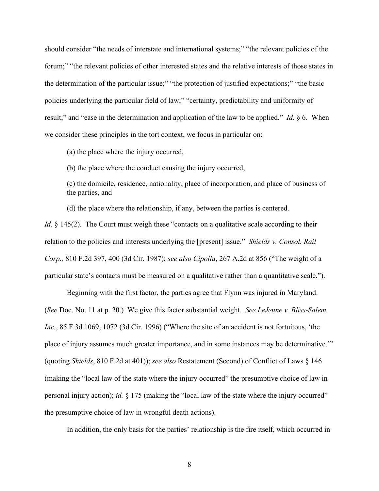should consider "the needs of interstate and international systems;" "the relevant policies of the forum;" "the relevant policies of other interested states and the relative interests of those states in the determination of the particular issue;" "the protection of justified expectations;" "the basic policies underlying the particular field of law;" "certainty, predictability and uniformity of result;" and "ease in the determination and application of the law to be applied." *Id.* § 6. When we consider these principles in the tort context, we focus in particular on:

(a) the place where the injury occurred,

(b) the place where the conduct causing the injury occurred,

(c) the domicile, residence, nationality, place of incorporation, and place of business of the parties, and

(d) the place where the relationship, if any, between the parties is centered.

*Id.* § 145(2). The Court must weigh these "contacts on a qualitative scale according to their relation to the policies and interests underlying the [present] issue." *Shields v. Consol. Rail Corp.,* 810 F.2d 397, 400 (3d Cir. 1987); *see also Cipolla*, 267 A.2d at 856 ("The weight of a particular state's contacts must be measured on a qualitative rather than a quantitative scale.").

Beginning with the first factor, the parties agree that Flynn was injured in Maryland. (*See* Doc. No. 11 at p. 20.) We give this factor substantial weight. *See LeJeune v. Bliss-Salem, Inc.*, 85 F.3d 1069, 1072 (3d Cir. 1996) ("Where the site of an accident is not fortuitous, 'the place of injury assumes much greater importance, and in some instances may be determinative.'" (quoting *Shields*, 810 F.2d at 401)); *see also* Restatement (Second) of Conflict of Laws § 146 (making the "local law of the state where the injury occurred" the presumptive choice of law in personal injury action); *id.* § 175 (making the "local law of the state where the injury occurred" the presumptive choice of law in wrongful death actions).

In addition, the only basis for the parties' relationship is the fire itself, which occurred in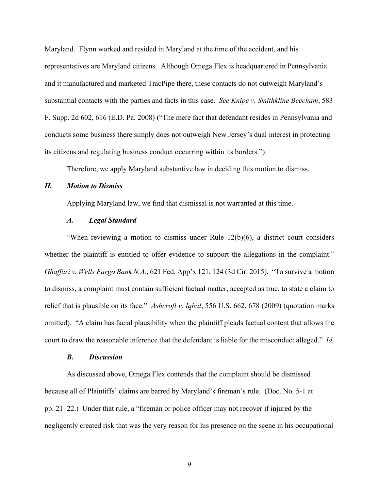Maryland. Flynn worked and resided in Maryland at the time of the accident, and his representatives are Maryland citizens. Although Omega Flex is headquartered in Pennsylvania and it manufactured and marketed TracPipe there, these contacts do not outweigh Maryland's substantial contacts with the parties and facts in this case. *See Knipe v. Smithkline Beecham*, 583 F. Supp. 2d 602, 616 (E.D. Pa. 2008) ("The mere fact that defendant resides in Pennsylvania and conducts some business there simply does not outweigh New Jersey's dual interest in protecting its citizens and regulating business conduct occurring within its borders.").

Therefore, we apply Maryland substantive law in deciding this motion to dismiss.

### *II. Motion to Dismiss*

Applying Maryland law, we find that dismissal is not warranted at this time.

## *A. Legal Standard*

"When reviewing a motion to dismiss under Rule 12(b)(6), a district court considers whether the plaintiff is entitled to offer evidence to support the allegations in the complaint." *Ghaffari v. Wells Fargo Bank N.A.*, 621 Fed. App'x 121, 124 (3d Cir. 2015). "To survive a motion to dismiss, a complaint must contain sufficient factual matter, accepted as true, to state a claim to relief that is plausible on its face." *Ashcroft v. Iqbal*, 556 U.S. 662, 678 (2009) (quotation marks omitted). "A claim has facial plausibility when the plaintiff pleads factual content that allows the court to draw the reasonable inference that the defendant is liable for the misconduct alleged." *Id.*

#### *B. Discussion*

As discussed above, Omega Flex contends that the complaint should be dismissed because all of Plaintiffs' claims are barred by Maryland's fireman's rule. (Doc. No. 5-1 at pp. 21–22.) Under that rule, a "fireman or police officer may not recover if injured by the negligently created risk that was the very reason for his presence on the scene in his occupational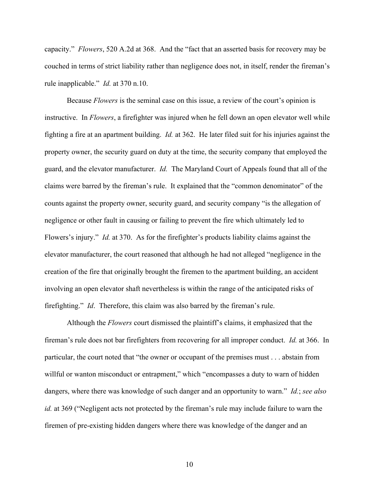capacity." *Flowers*, 520 A.2d at 368. And the "fact that an asserted basis for recovery may be couched in terms of strict liability rather than negligence does not, in itself, render the fireman's rule inapplicable." *Id.* at 370 n.10.

Because *Flowers* is the seminal case on this issue, a review of the court's opinion is instructive. In *Flowers*, a firefighter was injured when he fell down an open elevator well while fighting a fire at an apartment building. *Id.* at 362. He later filed suit for his injuries against the property owner, the security guard on duty at the time, the security company that employed the guard, and the elevator manufacturer. *Id.* The Maryland Court of Appeals found that all of the claims were barred by the fireman's rule. It explained that the "common denominator" of the counts against the property owner, security guard, and security company "is the allegation of negligence or other fault in causing or failing to prevent the fire which ultimately led to Flowers's injury." *Id.* at 370. As for the firefighter's products liability claims against the elevator manufacturer, the court reasoned that although he had not alleged "negligence in the creation of the fire that originally brought the firemen to the apartment building, an accident involving an open elevator shaft nevertheless is within the range of the anticipated risks of firefighting." *Id*. Therefore, this claim was also barred by the fireman's rule.

Although the *Flowers* court dismissed the plaintiff's claims, it emphasized that the fireman's rule does not bar firefighters from recovering for all improper conduct. *Id.* at 366. In particular, the court noted that "the owner or occupant of the premises must . . . abstain from willful or wanton misconduct or entrapment," which "encompasses a duty to warn of hidden dangers, where there was knowledge of such danger and an opportunity to warn." *Id.*; *see also id.* at 369 ("Negligent acts not protected by the fireman's rule may include failure to warn the firemen of pre-existing hidden dangers where there was knowledge of the danger and an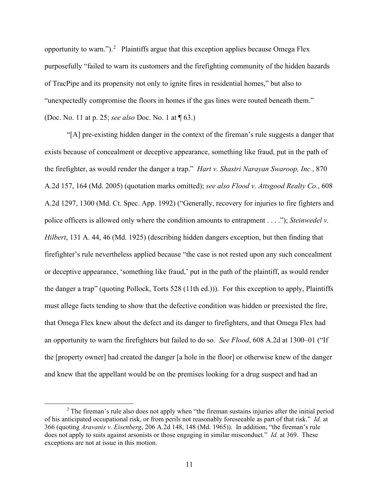opportunity to warn.").<sup>[2](#page-10-0)</sup> Plaintiffs argue that this exception applies because Omega Flex purposefully "failed to warn its customers and the firefighting community of the hidden hazards of TracPipe and its propensity not only to ignite fires in residential homes," but also to "unexpectedly compromise the floors in homes if the gas lines were routed beneath them." (Doc. No. 11 at p. 25; *see also* Doc. No. 1 at ¶ 63.)

"[A] pre-existing hidden danger in the context of the fireman's rule suggests a danger that exists because of concealment or deceptive appearance, something like fraud, put in the path of the firefighter, as would render the danger a trap." *Hart v. Shastri Narayan Swaroop, Inc.*, 870 A.2d 157, 164 (Md. 2005) (quotation marks omitted); *see also Flood v. Attsgood Realty Co.*, 608 A.2d 1297, 1300 (Md. Ct. Spec. App. 1992) ("Generally, recovery for injuries to fire fighters and police officers is allowed only where the condition amounts to entrapment . . . ."); *Steinwedel v. Hilbert*, 131 A. 44, 46 (Md. 1925) (describing hidden dangers exception, but then finding that firefighter's rule nevertheless applied because "the case is not rested upon any such concealment or deceptive appearance, 'something like fraud,' put in the path of the plaintiff, as would render the danger a trap" (quoting Pollock, Torts 528 (11th ed.))). For this exception to apply, Plaintiffs must allege facts tending to show that the defective condition was hidden or preexisted the fire, that Omega Flex knew about the defect and its danger to firefighters, and that Omega Flex had an opportunity to warn the firefighters but failed to do so. *See Flood*, 608 A.2d at 1300–01 ("If the [property owner] had created the danger [a hole in the floor] or otherwise knew of the danger and knew that the appellant would be on the premises looking for a drug suspect and had an

<span id="page-10-0"></span> $2$  The fireman's rule also does not apply when "the fireman sustains injuries after the initial period of his anticipated occupational risk, or from perils not reasonably foreseeable as part of that risk." *Id.* at 366 (quoting *Aravanis v. Eisenberg*, 206 A.2d 148, 148 (Md. 1965)). In addition, "the fireman's rule does not apply to suits against arsonists or those engaging in similar misconduct." *Id.* at 369. These exceptions are not at issue in this motion.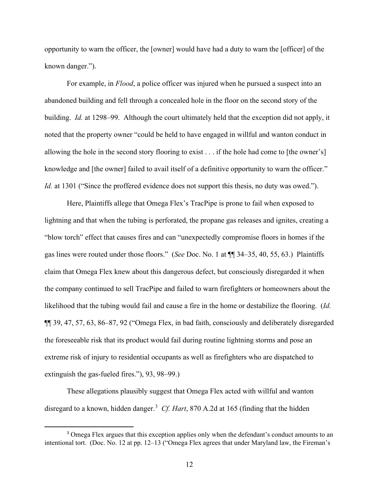opportunity to warn the officer, the [owner] would have had a duty to warn the [officer] of the known danger.").

For example, in *Flood*, a police officer was injured when he pursued a suspect into an abandoned building and fell through a concealed hole in the floor on the second story of the building. *Id.* at 1298–99. Although the court ultimately held that the exception did not apply, it noted that the property owner "could be held to have engaged in willful and wanton conduct in allowing the hole in the second story flooring to exist . . . if the hole had come to [the owner's] knowledge and [the owner] failed to avail itself of a definitive opportunity to warn the officer." *Id.* at 1301 ("Since the proffered evidence does not support this thesis, no duty was owed.").

Here, Plaintiffs allege that Omega Flex's TracPipe is prone to fail when exposed to lightning and that when the tubing is perforated, the propane gas releases and ignites, creating a "blow torch" effect that causes fires and can "unexpectedly compromise floors in homes if the gas lines were routed under those floors." (*See* Doc. No. 1 at ¶¶ 34–35, 40, 55, 63.) Plaintiffs claim that Omega Flex knew about this dangerous defect, but consciously disregarded it when the company continued to sell TracPipe and failed to warn firefighters or homeowners about the likelihood that the tubing would fail and cause a fire in the home or destabilize the flooring. (*Id.* ¶¶ 39, 47, 57, 63, 86–87, 92 ("Omega Flex, in bad faith, consciously and deliberately disregarded the foreseeable risk that its product would fail during routine lightning storms and pose an extreme risk of injury to residential occupants as well as firefighters who are dispatched to extinguish the gas-fueled fires."), 93, 98–99.)

These allegations plausibly suggest that Omega Flex acted with willful and wanton disregard to a known, hidden danger. [3](#page-11-0) *Cf. Hart*, 870 A.2d at 165 (finding that the hidden

<span id="page-11-0"></span><sup>&</sup>lt;sup>3</sup> Omega Flex argues that this exception applies only when the defendant's conduct amounts to an intentional tort. (Doc. No. 12 at pp. 12–13 ("Omega Flex agrees that under Maryland law, the Fireman's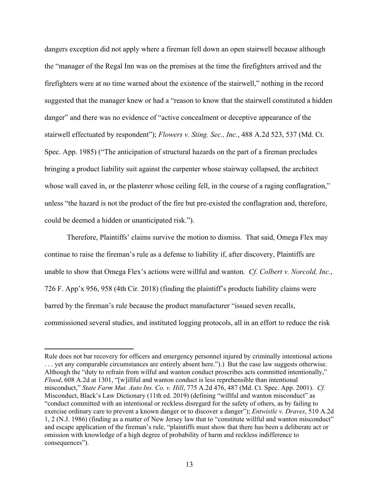dangers exception did not apply where a fireman fell down an open stairwell because although the "manager of the Regal Inn was on the premises at the time the firefighters arrived and the firefighters were at no time warned about the existence of the stairwell," nothing in the record suggested that the manager knew or had a "reason to know that the stairwell constituted a hidden danger" and there was no evidence of "active concealment or deceptive appearance of the stairwell effectuated by respondent"); *Flowers v. Sting. Sec., Inc.*, 488 A.2d 523, 537 (Md. Ct. Spec. App. 1985) ("The anticipation of structural hazards on the part of a fireman precludes bringing a product liability suit against the carpenter whose stairway collapsed, the architect whose wall caved in, or the plasterer whose ceiling fell, in the course of a raging conflagration," unless "the hazard is not the product of the fire but pre-existed the conflagration and, therefore, could be deemed a hidden or unanticipated risk.").

Therefore, Plaintiffs' claims survive the motion to dismiss. That said, Omega Flex may continue to raise the fireman's rule as a defense to liability if, after discovery, Plaintiffs are unable to show that Omega Flex's actions were willful and wanton. *Cf. Colbert v. Norcold, Inc.*, 726 F. App'x 956, 958 (4th Cir. 2018) (finding the plaintiff's products liability claims were barred by the fireman's rule because the product manufacturer "issued seven recalls, commissioned several studies, and instituted logging protocols, all in an effort to reduce the risk

Rule does not bar recovery for officers and emergency personnel injured by criminally intentional actions . . . yet any comparable circumstances are entirely absent here.").) But the case law suggests otherwise. Although the "duty to refrain from wilful and wanton conduct proscribes acts committed intentionally," *Flood*, 608 A.2d at 1301, "[w]illful and wanton conduct is less reprehensible than intentional misconduct," *State Farm Mut. Auto Ins. Co. v. Hill*, 775 A.2d 476, 487 (Md. Ct. Spec. App. 2001). *Cf.*  Misconduct, Black's Law Dictionary (11th ed. 2019) (defining "willful and wanton misconduct" as "conduct committed with an intentional or reckless disregard for the safety of others, as by failing to exercise ordinary care to prevent a known danger or to discover a danger"); *Entwistle v. Draves*, 510 A.2d 1, 2 (N.J. 1986) (finding as a matter of New Jersey law that to "constitute willful and wanton misconduct" and escape application of the fireman's rule, "plaintiffs must show that there has been a deliberate act or omission with knowledge of a high degree of probability of harm and reckless indifference to consequences").